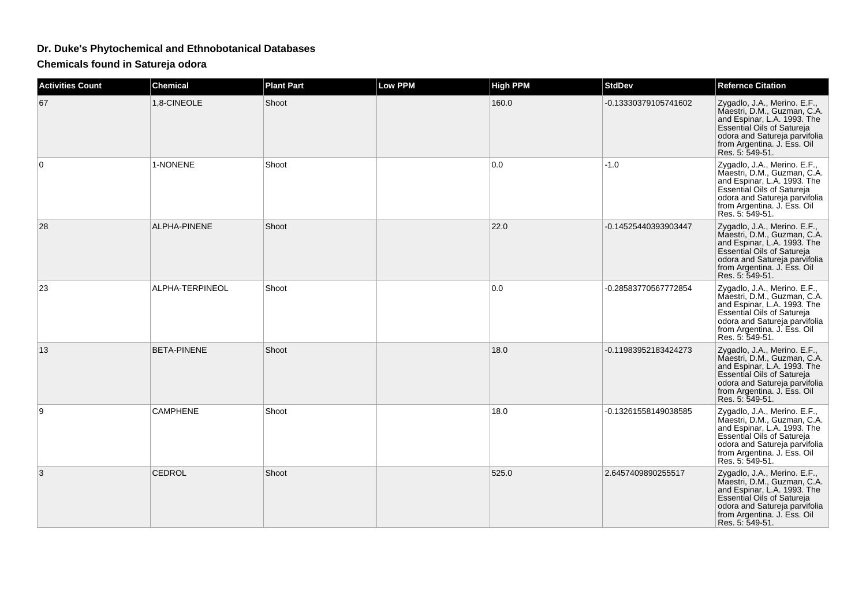## **Dr. Duke's Phytochemical and Ethnobotanical Databases**

**Chemicals found in Satureja odora**

| <b>Activities Count</b> | <b>Chemical</b>    | <b>Plant Part</b> | <b>Low PPM</b> | <b>High PPM</b> | <b>StdDev</b>        | <b>Refernce Citation</b>                                                                                                                                                                                           |
|-------------------------|--------------------|-------------------|----------------|-----------------|----------------------|--------------------------------------------------------------------------------------------------------------------------------------------------------------------------------------------------------------------|
| 67                      | 1.8-CINEOLE        | Shoot             |                | 160.0           | -0.13330379105741602 | Zygadlo, J.A., Merino. E.F.,<br>Maestri, D.M., Guzman, C.A.<br>and Espinar, L.A. 1993. The<br>Essential Oils of Satureja<br>odora and Satureja parvifolia<br>from Argentina. J. Ess. Oil<br>Res. 5: 549-51.        |
| 0                       | 1-NONENE           | Shoot             |                | 0.0             | $-1.0$               | Zygadlo, J.A., Merino. E.F.,<br>Maestri, D.M., Guzman, C.A.<br>and Espinar, L.A. 1993. The<br><b>Essential Oils of Satureja</b><br>odora and Satureja parvifolia<br>from Argentina. J. Ess. Oil<br>Res. 5: 549-51. |
| 28                      | ALPHA-PINENE       | Shoot             |                | 22.0            | -0.14525440393903447 | Zygadlo, J.A., Merino. E.F.,<br>Maestri, D.M., Guzman, C.A.<br>and Espinar, L.A. 1993. The<br>Essential Oils of Satureja<br>odora and Satureja parvifolia<br>from Argentina. J. Ess. Oil<br>Res. 5: 549-51.        |
| 23                      | ALPHA-TERPINEOL    | Shoot             |                | 0.0             | -0.28583770567772854 | Zygadlo, J.A., Merino. E.F.,<br>Maestri, D.M., Guzman, C.A.<br>and Espinar, L.A. 1993. The<br>Essential Oils of Satureja<br>odora and Satureja parvifolia<br>from Argentina. J. Ess. Oil<br>Res. 5: 549-51.        |
| 13                      | <b>BETA-PINENE</b> | Shoot             |                | 18.0            | -0.11983952183424273 | Zygadlo, J.A., Merino. E.F.,<br>Maestri, D.M., Guzman, C.A.<br>and Espinar, L.A. 1993. The<br><b>Essential Oils of Satureja</b><br>odora and Satureja parvifolia<br>from Argentina. J. Ess. Oil<br>Res. 5: 549-51. |
| 9                       | <b>CAMPHENE</b>    | Shoot             |                | 18.0            | -0.13261558149038585 | Zygadlo, J.A., Merino. E.F.,<br>Maestri, D.M., Guzman, C.A.<br>and Espinar, L.A. 1993. The<br>Essential Oils of Satureja<br>odora and Satureja parvifolia<br>from Argentina. J. Ess. Oil<br>Res. 5: 549-51.        |
| 3                       | CEDROL             | Shoot             |                | 525.0           | 2.6457409890255517   | Zygadlo, J.A., Merino. E.F.,<br>Maestri, D.M., Guzman, C.A.<br>and Espinar, L.A. 1993. The<br><b>Essential Oils of Satureja</b><br>odora and Satureja parvifolia<br>from Argentina. J. Ess. Oil<br>Res. 5: 549-51. |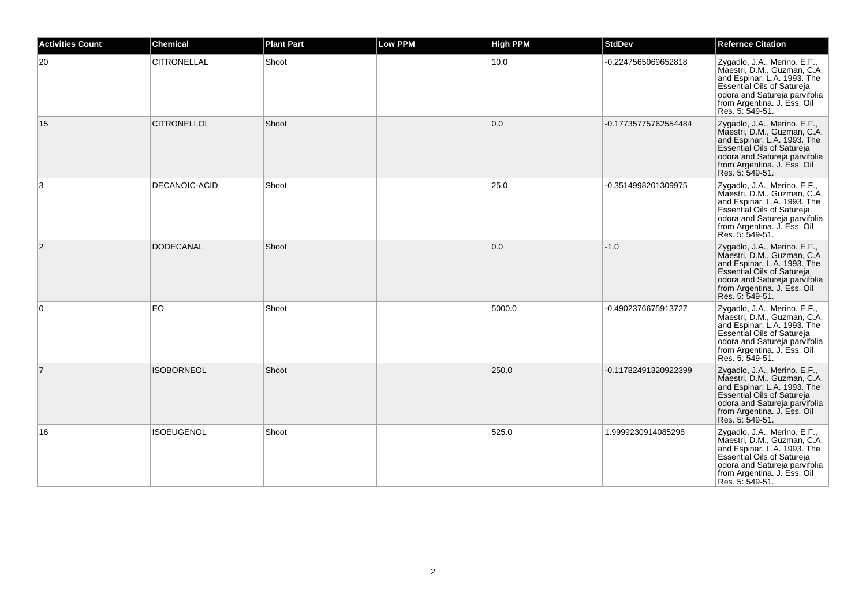| <b>Activities Count</b> | <b>Chemical</b>      | <b>Plant Part</b> | <b>Low PPM</b> | <b>High PPM</b> | <b>StdDev</b>        | <b>Refernce Citation</b>                                                                                                                                                                                           |
|-------------------------|----------------------|-------------------|----------------|-----------------|----------------------|--------------------------------------------------------------------------------------------------------------------------------------------------------------------------------------------------------------------|
| 20                      | <b>CITRONELLAL</b>   | Shoot             |                | 10.0            | -0.2247565069652818  | Zygadlo, J.A., Merino. E.F.,<br>Maestri, D.M., Guzman, C.A.<br>and Espinar, L.A. 1993. The<br>Essential Oils of Satureja<br>odora and Satureja parvifolia<br>from Argentina. J. Ess. Oil<br>Res. 5: 549-51.        |
| 15                      | <b>CITRONELLOL</b>   | Shoot             |                | 0.0             | -0.17735775762554484 | Zygadlo, J.A., Merino. E.F.,<br>Maestri, D.M., Guzman, C.A.<br>and Espinar, L.A. 1993. The<br>Essential Oils of Satureja<br>odora and Satureja parvifolia<br>from Argentina. J. Ess. Oil<br>Res. 5: 549-51.        |
| 3                       | <b>DECANOIC-ACID</b> | Shoot             |                | 25.0            | -0.3514998201309975  | Zygadlo, J.A., Merino. E.F.,<br>Maestri, D.M., Guzman, C.A.<br>and Espinar, L.A. 1993. The<br>Essential Oils of Satureja<br>odora and Satureja parvifolia<br>from Argentina. J. Ess. Oil<br>Res. 5: 549-51.        |
| 2                       | <b>DODECANAL</b>     | Shoot             |                | 0.0             | $-1.0$               | Zygadlo, J.A., Merino. E.F.,<br>Maestri, D.M., Guzman, C.A.<br>and Espinar, L.A. 1993. The<br>Essential Oils of Satureja<br>odora and Satureja parvifolia<br>from Argentina. J. Ess. Oil<br>Res. 5: 549-51.        |
| 0                       | EO                   | Shoot             |                | 5000.0          | -0.4902376675913727  | Zygadlo, J.A., Merino. E.F.,<br>Maestri, D.M., Guzman, C.A.<br>and Espinar, L.A. 1993. The<br>Essential Oils of Satureja<br>odora and Satureja parvifolia<br>from Argentina. J. Ess. Oil<br>Res. 5: 549-51.        |
| $\overline{7}$          | <b>ISOBORNEOL</b>    | Shoot             |                | 250.0           | -0.11782491320922399 | Zygadlo, J.A., Merino. E.F.,<br>Maestri, D.M., Guzman, C.A.<br>and Espinar, L.A. 1993. The<br><b>Essential Oils of Satureja</b><br>odora and Satureja parvifolia<br>from Argentina. J. Ess. Oil<br>Res. 5: 549-51. |
| 16                      | <b>ISOEUGENOL</b>    | Shoot             |                | 525.0           | 1.9999230914085298   | Zygadlo, J.A., Merino. E.F.,<br>Maestri, D.M., Guzman, C.A.<br>and Espinar, L.A. 1993. The<br>Essential Oils of Satureja<br>odora and Satureja parvifolia<br>from Argentina. J. Ess. Oil<br>Res. 5: 549-51.        |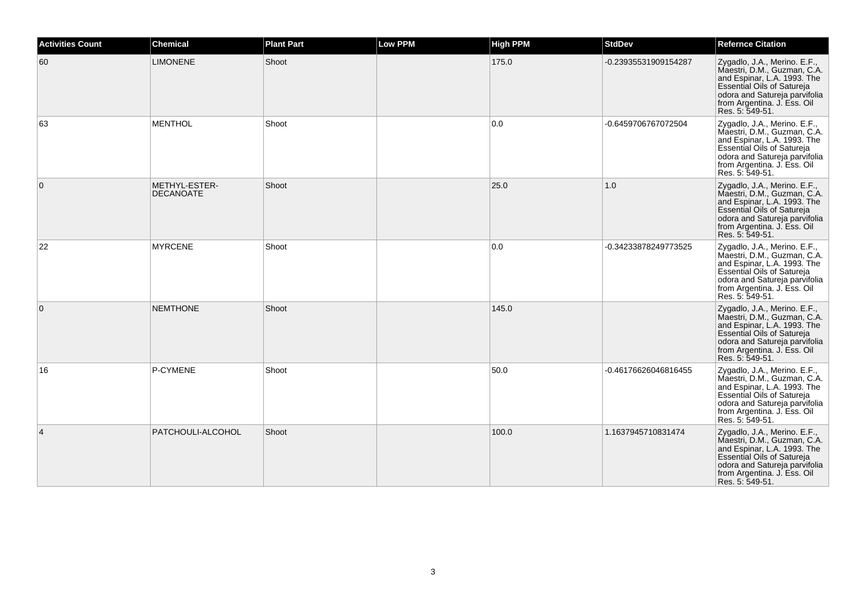| <b>Activities Count</b> | <b>Chemical</b>                   | <b>Plant Part</b> | <b>Low PPM</b> | <b>High PPM</b> | <b>StdDev</b>        | <b>Refernce Citation</b>                                                                                                                                                                                           |
|-------------------------|-----------------------------------|-------------------|----------------|-----------------|----------------------|--------------------------------------------------------------------------------------------------------------------------------------------------------------------------------------------------------------------|
| 60                      | <b>LIMONENE</b>                   | Shoot             |                | 175.0           | -0.23935531909154287 | Zygadlo, J.A., Merino. E.F.,<br>Maestri, D.M., Guzman, C.A.<br>and Espinar, L.A. 1993. The<br>Essential Oils of Satureja<br>odora and Satureja parvifolia<br>from Argentina. J. Ess. Oil<br>Res. 5: 549-51.        |
| 63                      | <b>MENTHOL</b>                    | Shoot             |                | 0.0             | -0.6459706767072504  | Zygadlo, J.A., Merino. E.F.,<br>Maestri, D.M., Guzman, C.A.<br>and Espinar, L.A. 1993. The<br>Essential Oils of Satureja<br>odora and Satureja parvifolia<br>from Argentina. J. Ess. Oil<br>Res. 5: 549-51.        |
| $\overline{0}$          | METHYL-ESTER-<br><b>DECANOATE</b> | Shoot             |                | 25.0            | 1.0                  | Zygadlo, J.A., Merino. E.F.,<br>Maestri, D.M., Guzman, C.A.<br>and Espinar, L.A. 1993. The<br>Essential Oils of Satureja<br>odora and Satureja parvifolia<br>from Argentina. J. Ess. Oil<br>Res. 5: 549-51.        |
| 22                      | <b>MYRCENE</b>                    | Shoot             |                | 0.0             | -0.34233878249773525 | Zygadlo, J.A., Merino. E.F.,<br>Maestri, D.M., Guzman, C.A.<br>and Espinar, L.A. 1993. The<br>Essential Oils of Satureja<br>odora and Satureja parvifolia<br>from Argentina. J. Ess. Oil<br>Res. 5: 549-51.        |
| $\overline{0}$          | <b>NEMTHONE</b>                   | Shoot             |                | 145.0           |                      | Zygadlo, J.A., Merino. E.F.,<br>Maestri, D.M., Guzman, C.A.<br>and Espinar, L.A. 1993. The<br>Essential Oils of Satureja<br>odora and Satureja parvifolia<br>from Argentina. J. Ess. Oil<br>Res. 5: 549-51.        |
| 16                      | P-CYMENE                          | Shoot             |                | 50.0            | -0.46176626046816455 | Zygadlo, J.A., Merino. E.F.,<br>Maestri, D.M., Guzman, C.A.<br>and Espinar, L.A. 1993. The<br><b>Essential Oils of Satureja</b><br>odora and Satureja parvifolia<br>from Argentina. J. Ess. Oil<br>Res. 5: 549-51. |
| $\overline{4}$          | PATCHOULI-ALCOHOL                 | Shoot             |                | 100.0           | 1.1637945710831474   | Zygadlo, J.A., Merino. E.F.,<br>Maestri, D.M., Guzman, C.A.<br>and Espinar, L.A. 1993. The<br>Essential Oils of Satureja<br>odora and Satureja parvifolia<br>from Argentina. J. Ess. Oil<br>Res. 5: 549-51.        |